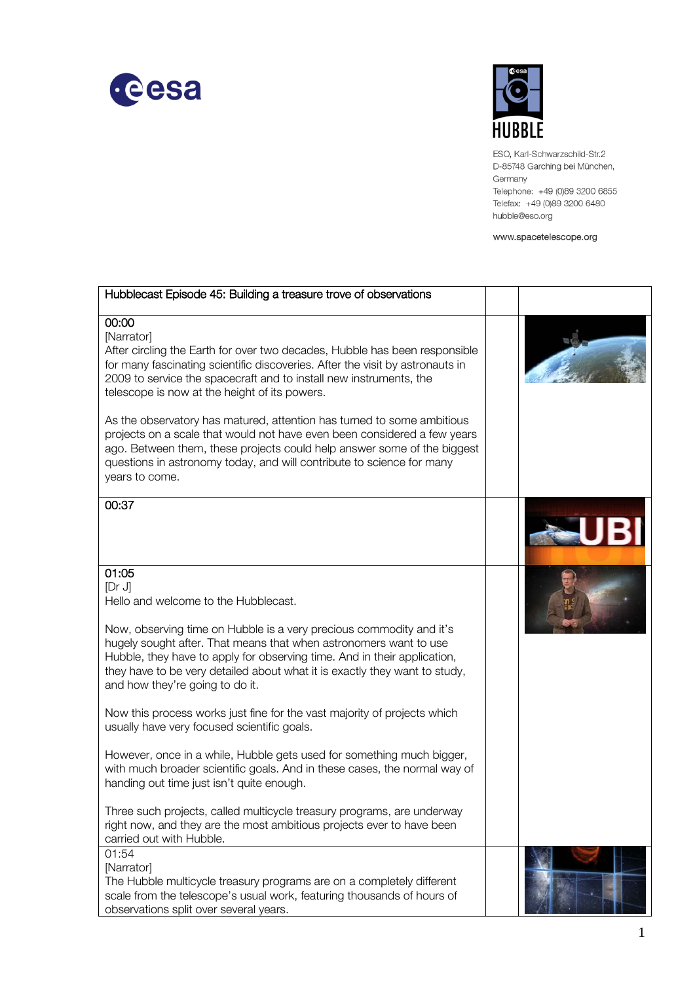



ESO, Karl-Schwarzschild-Str.2 D-85748 Garching bei München, Germany Telephone: +49 (0)89 3200 6855 Telefax: +49 (0)89 3200 6480 hubble@eso.org

www.spacetelescope.org

| Hubblecast Episode 45: Building a treasure trove of observations                                                                                                                                                                                                                                                                                                                                                                                                                                                                                                                                                                                                                                                                                                                                                                                                                                              |  |
|---------------------------------------------------------------------------------------------------------------------------------------------------------------------------------------------------------------------------------------------------------------------------------------------------------------------------------------------------------------------------------------------------------------------------------------------------------------------------------------------------------------------------------------------------------------------------------------------------------------------------------------------------------------------------------------------------------------------------------------------------------------------------------------------------------------------------------------------------------------------------------------------------------------|--|
| 00:00<br>[Narrator]<br>After circling the Earth for over two decades, Hubble has been responsible<br>for many fascinating scientific discoveries. After the visit by astronauts in<br>2009 to service the spacecraft and to install new instruments, the<br>telescope is now at the height of its powers.<br>As the observatory has matured, attention has turned to some ambitious<br>projects on a scale that would not have even been considered a few years<br>ago. Between them, these projects could help answer some of the biggest<br>questions in astronomy today, and will contribute to science for many<br>years to come.                                                                                                                                                                                                                                                                         |  |
| 00:37                                                                                                                                                                                                                                                                                                                                                                                                                                                                                                                                                                                                                                                                                                                                                                                                                                                                                                         |  |
| 01:05<br>[Dr J]<br>Hello and welcome to the Hubblecast.<br>Now, observing time on Hubble is a very precious commodity and it's<br>hugely sought after. That means that when astronomers want to use<br>Hubble, they have to apply for observing time. And in their application,<br>they have to be very detailed about what it is exactly they want to study,<br>and how they're going to do it.<br>Now this process works just fine for the vast majority of projects which<br>usually have very focused scientific goals.<br>However, once in a while, Hubble gets used for something much bigger,<br>with much broader scientific goals. And in these cases, the normal way of<br>handing out time just isn't quite enough.<br>Three such projects, called multicycle treasury programs, are underway<br>right now, and they are the most ambitious projects ever to have been<br>carried out with Hubble. |  |
| 01:54<br>[Narrator]<br>The Hubble multicycle treasury programs are on a completely different<br>scale from the telescope's usual work, featuring thousands of hours of<br>observations split over several years.                                                                                                                                                                                                                                                                                                                                                                                                                                                                                                                                                                                                                                                                                              |  |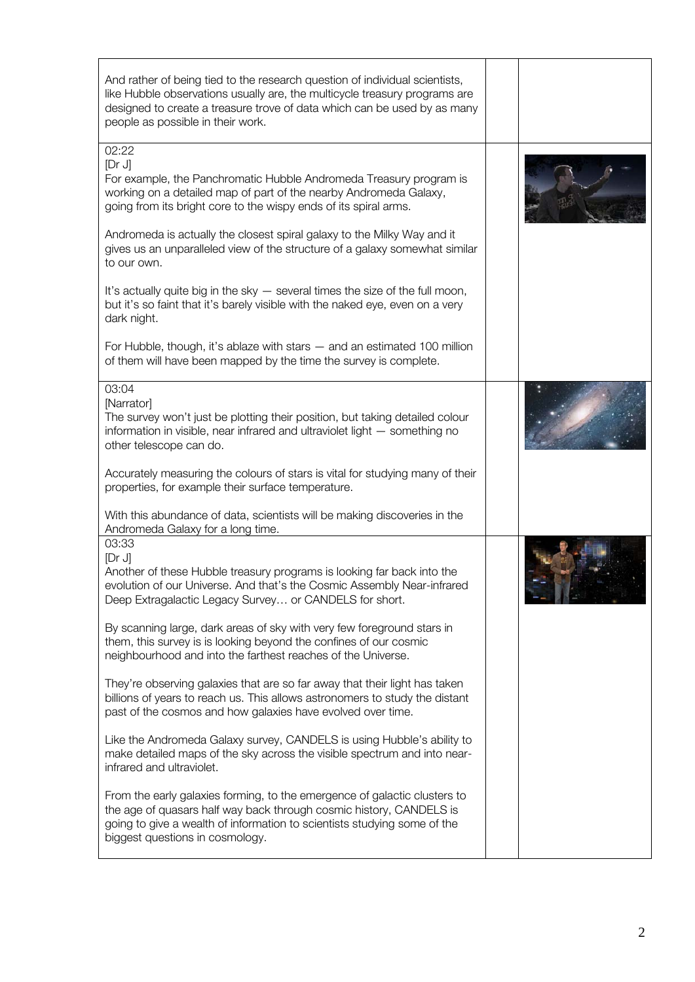| And rather of being tied to the research question of individual scientists,<br>like Hubble observations usually are, the multicycle treasury programs are<br>designed to create a treasure trove of data which can be used by as many<br>people as possible in their work. |  |
|----------------------------------------------------------------------------------------------------------------------------------------------------------------------------------------------------------------------------------------------------------------------------|--|
| 02:22<br>[Dr J]<br>For example, the Panchromatic Hubble Andromeda Treasury program is<br>working on a detailed map of part of the nearby Andromeda Galaxy,<br>going from its bright core to the wispy ends of its spiral arms.                                             |  |
| Andromeda is actually the closest spiral galaxy to the Milky Way and it<br>gives us an unparalleled view of the structure of a galaxy somewhat similar<br>to our own.                                                                                                      |  |
| It's actually quite big in the sky $-$ several times the size of the full moon,<br>but it's so faint that it's barely visible with the naked eye, even on a very<br>dark night.                                                                                            |  |
| For Hubble, though, it's ablaze with stars - and an estimated 100 million<br>of them will have been mapped by the time the survey is complete.                                                                                                                             |  |
| 03:04                                                                                                                                                                                                                                                                      |  |
| [Narrator]<br>The survey won't just be plotting their position, but taking detailed colour<br>information in visible, near infrared and ultraviolet light - something no<br>other telescope can do.                                                                        |  |
| Accurately measuring the colours of stars is vital for studying many of their<br>properties, for example their surface temperature.                                                                                                                                        |  |
| With this abundance of data, scientists will be making discoveries in the<br>Andromeda Galaxy for a long time.                                                                                                                                                             |  |
| 03:33<br>[Dr J]                                                                                                                                                                                                                                                            |  |
| Another of these Hubble treasury programs is looking far back into the<br>evolution of our Universe. And that's the Cosmic Assembly Near-infrared<br>Deep Extragalactic Legacy Survey or CANDELS for short.                                                                |  |
| By scanning large, dark areas of sky with very few foreground stars in<br>them, this survey is is looking beyond the confines of our cosmic<br>neighbourhood and into the farthest reaches of the Universe.                                                                |  |
| They're observing galaxies that are so far away that their light has taken<br>billions of years to reach us. This allows astronomers to study the distant<br>past of the cosmos and how galaxies have evolved over time.                                                   |  |
| Like the Andromeda Galaxy survey, CANDELS is using Hubble's ability to<br>make detailed maps of the sky across the visible spectrum and into near-<br>infrared and ultraviolet.                                                                                            |  |
| From the early galaxies forming, to the emergence of galactic clusters to<br>the age of quasars half way back through cosmic history, CANDELS is<br>going to give a wealth of information to scientists studying some of the<br>biggest questions in cosmology.            |  |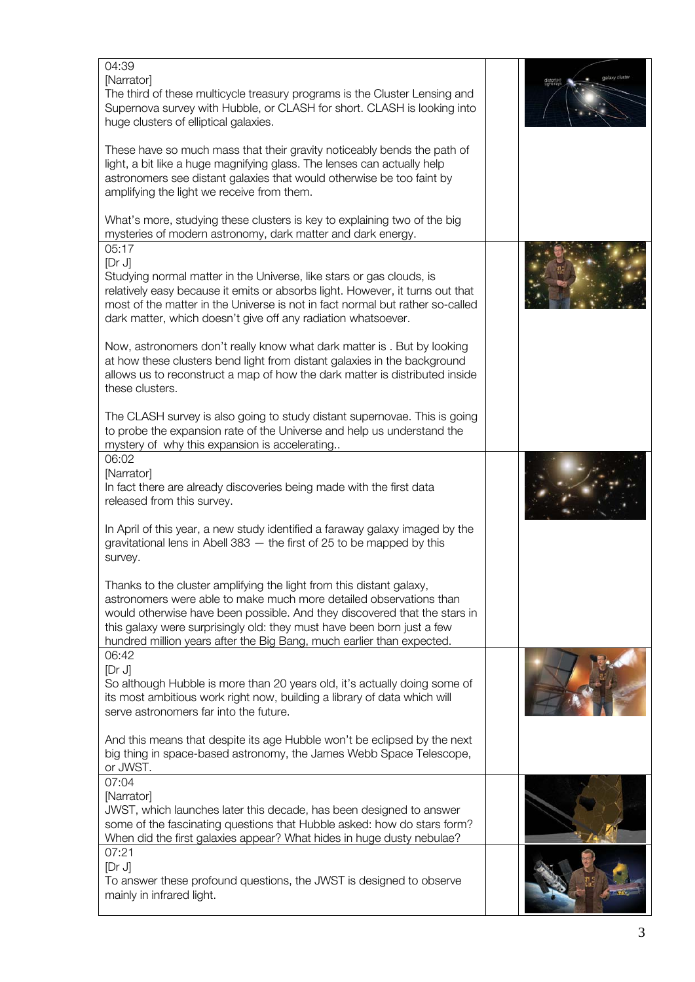| 04:39<br>[Narrator]<br>The third of these multicycle treasury programs is the Cluster Lensing and<br>Supernova survey with Hubble, or CLASH for short. CLASH is looking into<br>huge clusters of elliptical galaxies.                                                                                                                                                      |  |
|----------------------------------------------------------------------------------------------------------------------------------------------------------------------------------------------------------------------------------------------------------------------------------------------------------------------------------------------------------------------------|--|
| These have so much mass that their gravity noticeably bends the path of<br>light, a bit like a huge magnifying glass. The lenses can actually help<br>astronomers see distant galaxies that would otherwise be too faint by<br>amplifying the light we receive from them.                                                                                                  |  |
| What's more, studying these clusters is key to explaining two of the big<br>mysteries of modern astronomy, dark matter and dark energy.                                                                                                                                                                                                                                    |  |
| 05:17<br>[Dr J]<br>Studying normal matter in the Universe, like stars or gas clouds, is<br>relatively easy because it emits or absorbs light. However, it turns out that<br>most of the matter in the Universe is not in fact normal but rather so-called<br>dark matter, which doesn't give off any radiation whatsoever.                                                 |  |
| Now, astronomers don't really know what dark matter is . But by looking<br>at how these clusters bend light from distant galaxies in the background<br>allows us to reconstruct a map of how the dark matter is distributed inside<br>these clusters.                                                                                                                      |  |
| The CLASH survey is also going to study distant supernovae. This is going<br>to probe the expansion rate of the Universe and help us understand the<br>mystery of why this expansion is accelerating                                                                                                                                                                       |  |
| 06:02<br>[Narrator]<br>In fact there are already discoveries being made with the first data<br>released from this survey.                                                                                                                                                                                                                                                  |  |
| In April of this year, a new study identified a faraway galaxy imaged by the<br>gravitational lens in Abell 383 $-$ the first of 25 to be mapped by this<br>survey.                                                                                                                                                                                                        |  |
| Thanks to the cluster amplifying the light from this distant galaxy,<br>astronomers were able to make much more detailed observations than<br>would otherwise have been possible. And they discovered that the stars in<br>this galaxy were surprisingly old: they must have been born just a few<br>hundred million years after the Big Bang, much earlier than expected. |  |
| 06:42<br>[Dr J]<br>So although Hubble is more than 20 years old, it's actually doing some of<br>its most ambitious work right now, building a library of data which will<br>serve astronomers far into the future.                                                                                                                                                         |  |
| And this means that despite its age Hubble won't be eclipsed by the next<br>big thing in space-based astronomy, the James Webb Space Telescope,<br>or JWST.                                                                                                                                                                                                                |  |
| 07:04<br>[Narrator]<br>JWST, which launches later this decade, has been designed to answer<br>some of the fascinating questions that Hubble asked: how do stars form?<br>When did the first galaxies appear? What hides in huge dusty nebulae?                                                                                                                             |  |
| 07:21<br>[Dr J]<br>To answer these profound questions, the JWST is designed to observe<br>mainly in infrared light.                                                                                                                                                                                                                                                        |  |